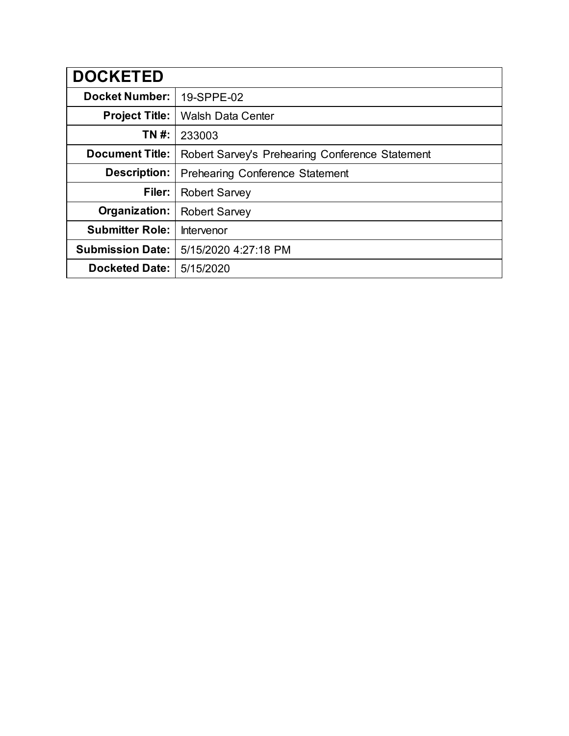| <b>DOCKETED</b>         |                                                 |  |  |
|-------------------------|-------------------------------------------------|--|--|
| <b>Docket Number:</b>   | 19-SPPE-02                                      |  |  |
| <b>Project Title:</b>   | <b>Walsh Data Center</b>                        |  |  |
| TN #:                   | 233003                                          |  |  |
| <b>Document Title:</b>  | Robert Sarvey's Prehearing Conference Statement |  |  |
| <b>Description:</b>     | <b>Prehearing Conference Statement</b>          |  |  |
| Filer:                  | <b>Robert Sarvey</b>                            |  |  |
| Organization:           | <b>Robert Sarvey</b>                            |  |  |
| <b>Submitter Role:</b>  | Intervenor                                      |  |  |
| <b>Submission Date:</b> | 5/15/2020 4:27:18 PM                            |  |  |
| <b>Docketed Date:</b>   | 5/15/2020                                       |  |  |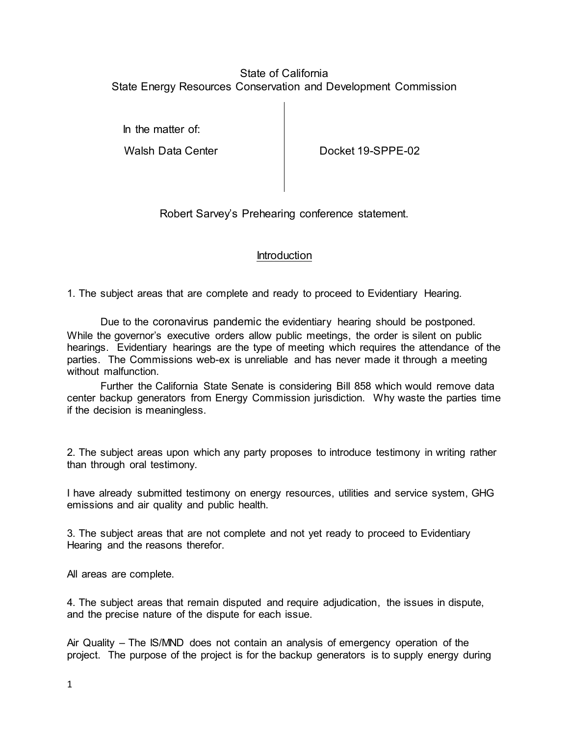## State of California State Energy Resources Conservation and Development Commission

In the matter of:

Walsh Data Center **Docket 19-SPPE-02** 

Robert Sarvey's Prehearing conference statement.

## Introduction

1. The subject areas that are complete and ready to proceed to Evidentiary Hearing.

Due to the coronavirus pandemic the evidentiary hearing should be postponed. While the governor's executive orders allow public meetings, the order is silent on public hearings. Evidentiary hearings are the type of meeting which requires the attendance of the parties. The Commissions web-ex is unreliable and has never made it through a meeting without malfunction

Further the California State Senate is considering Bill 858 which would remove data center backup generators from Energy Commission jurisdiction. Why waste the parties time if the decision is meaningless.

2. The subject areas upon which any party proposes to introduce testimony in writing rather than through oral testimony.

I have already submitted testimony on energy resources, utilities and service system, GHG emissions and air quality and public health.

3. The subject areas that are not complete and not yet ready to proceed to Evidentiary Hearing and the reasons therefor.

All areas are complete.

4. The subject areas that remain disputed and require adjudication, the issues in dispute, and the precise nature of the dispute for each issue.

Air Quality – The IS/MND does not contain an analysis of emergency operation of the project. The purpose of the project is for the backup generators is to supply energy during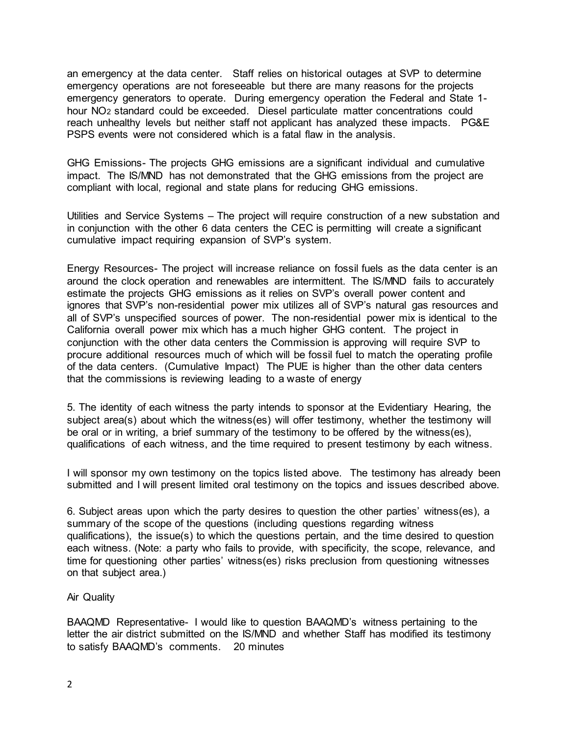an emergency at the data center. Staff relies on historical outages at SVP to determine emergency operations are not foreseeable but there are many reasons for the projects emergency generators to operate. During emergency operation the Federal and State 1 hour NO2 standard could be exceeded. Diesel particulate matter concentrations could reach unhealthy levels but neither staff not applicant has analyzed these impacts. PG&E PSPS events were not considered which is a fatal flaw in the analysis.

GHG Emissions- The projects GHG emissions are a significant individual and cumulative impact. The IS/MND has not demonstrated that the GHG emissions from the project are compliant with local, regional and state plans for reducing GHG emissions.

Utilities and Service Systems – The project will require construction of a new substation and in conjunction with the other 6 data centers the CEC is permitting will create a significant cumulative impact requiring expansion of SVP's system.

Energy Resources- The project will increase reliance on fossil fuels as the data center is an around the clock operation and renewables are intermittent. The IS/MND fails to accurately estimate the projects GHG emissions as it relies on SVP's overall power content and ignores that SVP's non-residential power mix utilizes all of SVP's natural gas resources and all of SVP's unspecified sources of power. The non-residential power mix is identical to the California overall power mix which has a much higher GHG content. The project in conjunction with the other data centers the Commission is approving will require SVP to procure additional resources much of which will be fossil fuel to match the operating profile of the data centers. (Cumulative Impact) The PUE is higher than the other data centers that the commissions is reviewing leading to a waste of energy

5. The identity of each witness the party intends to sponsor at the Evidentiary Hearing, the subject area(s) about which the witness(es) will offer testimony, whether the testimony will be oral or in writing, a brief summary of the testimony to be offered by the witness(es), qualifications of each witness, and the time required to present testimony by each witness.

I will sponsor my own testimony on the topics listed above. The testimony has already been submitted and I will present limited oral testimony on the topics and issues described above.

6. Subject areas upon which the party desires to question the other parties' witness(es), a summary of the scope of the questions (including questions regarding witness qualifications), the issue(s) to which the questions pertain, and the time desired to question each witness. (Note: a party who fails to provide, with specificity, the scope, relevance, and time for questioning other parties' witness(es) risks preclusion from questioning witnesses on that subject area.)

## Air Quality

BAAQMD Representative- I would like to question BAAQMD's witness pertaining to the letter the air district submitted on the IS/MND and whether Staff has modified its testimony to satisfy BAAQMD's comments. 20 minutes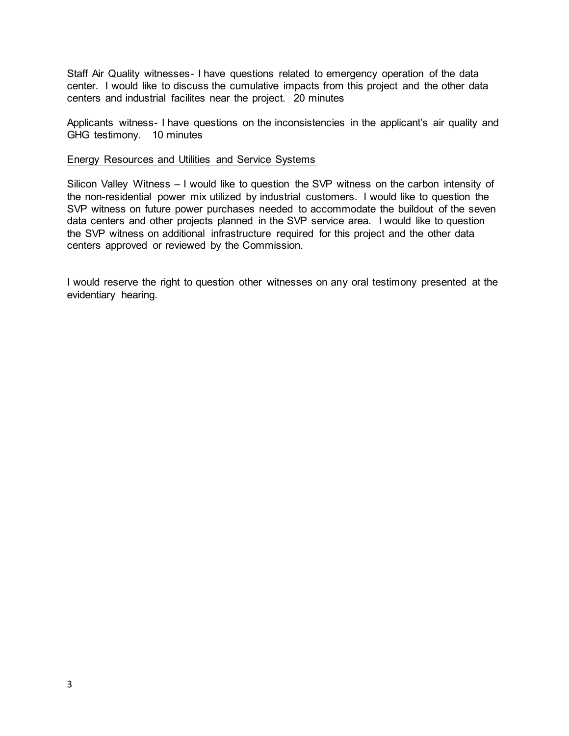Staff Air Quality witnesses- I have questions related to emergency operation of the data center. I would like to discuss the cumulative impacts from this project and the other data centers and industrial facilites near the project. 20 minutes

Applicants witness- I have questions on the inconsistencies in the applicant's air quality and GHG testimony. 10 minutes

## Energy Resources and Utilities and Service Systems

Silicon Valley Witness – I would like to question the SVP witness on the carbon intensity of the non-residential power mix utilized by industrial customers. I would like to question the SVP witness on future power purchases needed to accommodate the buildout of the seven data centers and other projects planned in the SVP service area. I would like to question the SVP witness on additional infrastructure required for this project and the other data centers approved or reviewed by the Commission.

I would reserve the right to question other witnesses on any oral testimony presented at the evidentiary hearing.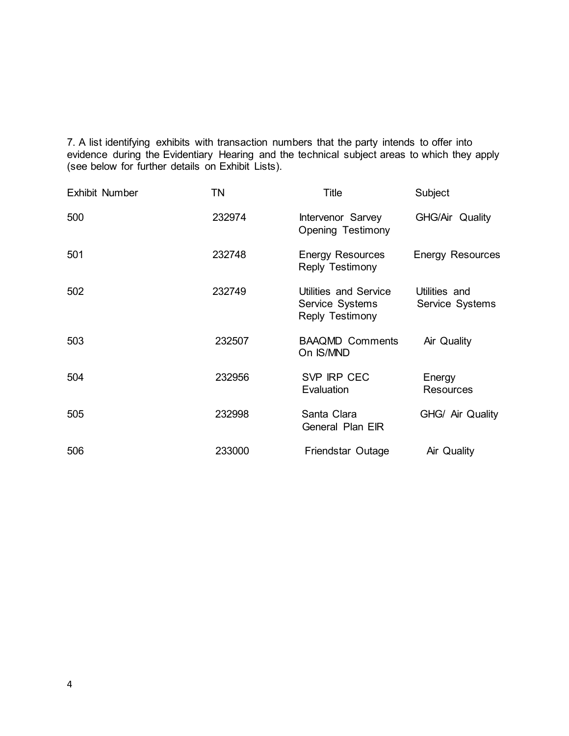7. A list identifying exhibits with transaction numbers that the party intends to offer into evidence during the Evidentiary Hearing and the technical subject areas to which they apply (see below for further details on Exhibit Lists).

| <b>Exhibit Number</b> | TN     | Title                                                       | Subject                          |
|-----------------------|--------|-------------------------------------------------------------|----------------------------------|
| 500                   | 232974 | Intervenor Sarvey<br><b>Opening Testimony</b>               | GHG/Air Quality                  |
| 501                   | 232748 | <b>Energy Resources</b><br>Reply Testimony                  | <b>Energy Resources</b>          |
| 502                   | 232749 | Utilities and Service<br>Service Systems<br>Reply Testimony | Utilities and<br>Service Systems |
| 503                   | 232507 | <b>BAAQMD Comments</b><br>On IS/MND                         | Air Quality                      |
| 504                   | 232956 | SVP IRP CEC<br>Evaluation                                   | Energy<br><b>Resources</b>       |
| 505                   | 232998 | Santa Clara<br>General Plan EIR                             | GHG/ Air Quality                 |
| 506                   | 233000 | Friendstar Outage                                           | Air Quality                      |